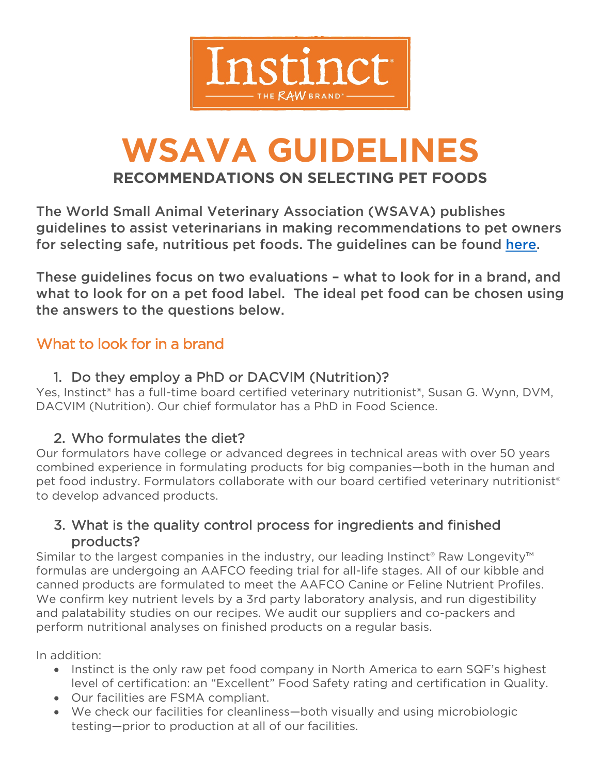

# **WSAVA GUIDELINES RECOMMENDATIONS ON SELECTING PET FOODS**

The World Small Animal Veterinary Association (WSAVA) publishes guidelines to assist veterinarians in making recommendations to pet owners for selecting safe, nutritious pet foods. The guidelines can be found [here.](https://wsava.org/wp-content/uploads/2021/04/Selecting-a-pet-food-for-your-pet-updated-2021_WSAVA-Global-Nutrition-Toolkit.pdf)

These guidelines focus on two evaluations – what to look for in a brand, and what to look for on a pet food label. The ideal pet food can be chosen using the answers to the questions below.

## What to look for in a brand

## 1. Do they employ a PhD or DACVIM (Nutrition)?

Yes, Instinct® has a full-time board certified veterinary nutritionist®, Susan G. Wynn, DVM, DACVIM (Nutrition). Our chief formulator has a PhD in Food Science.

## 2. Who formulates the diet?

Our formulators have college or advanced degrees in technical areas with over 50 years combined experience in formulating products for big companies—both in the human and pet food industry. Formulators collaborate with our board certified veterinary nutritionist<sup>®</sup> to develop advanced products.

## 3. What is the quality control process for ingredients and finished products?

Similar to the largest companies in the industry, our leading Instinct<sup>®</sup> Raw Longevity<sup>™</sup> formulas are undergoing an AAFCO feeding trial for all-life stages. All of our kibble and canned products are formulated to meet the AAFCO Canine or Feline Nutrient Profiles. We confirm key nutrient levels by a 3rd party laboratory analysis, and run digestibility and palatability studies on our recipes. We audit our suppliers and co-packers and perform nutritional analyses on finished products on a regular basis.

In addition:

- Instinct is the only raw pet food company in North America to earn SQF's highest level of certification: an "Excellent" Food Safety rating and certification in Quality.
- Our facilities are FSMA compliant.
- We check our facilities for cleanliness—both visually and using microbiologic testing—prior to production at all of our facilities.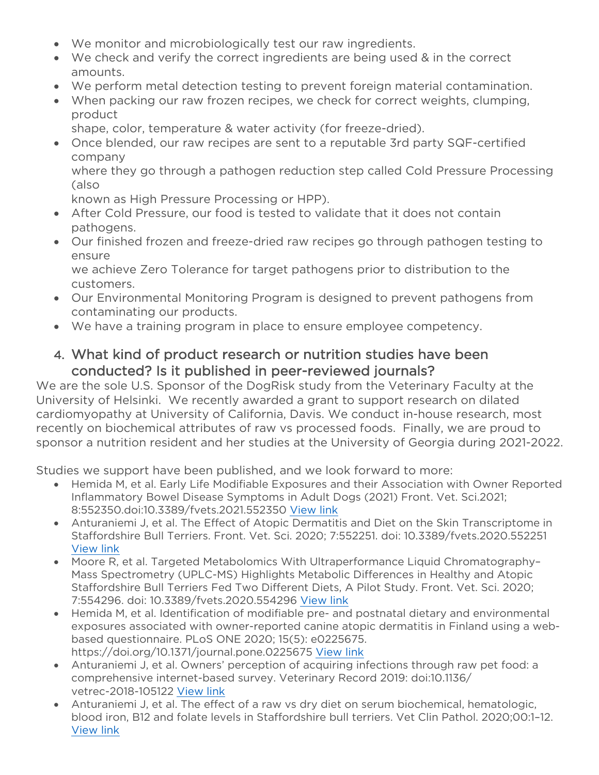- We monitor and microbiologically test our raw ingredients.
- We check and verify the correct ingredients are being used & in the correct amounts.
- We perform metal detection testing to prevent foreign material contamination.
- When packing our raw frozen recipes, we check for correct weights, clumping, product
- shape, color, temperature & water activity (for freeze-dried).
- Once blended, our raw recipes are sent to a reputable 3rd party SQF-certified company

where they go through a pathogen reduction step called Cold Pressure Processing (also

known as High Pressure Processing or HPP).

- After Cold Pressure, our food is tested to validate that it does not contain pathogens.
- Our finished frozen and freeze-dried raw recipes go through pathogen testing to ensure

we achieve Zero Tolerance for target pathogens prior to distribution to the customers.

- Our Environmental Monitoring Program is designed to prevent pathogens from contaminating our products.
- We have a training program in place to ensure employee competency.

#### 4. What kind of product research or nutrition studies have been conducted? Is it published in peer-reviewed journals?

We are the sole U.S. Sponsor of the DogRisk study from the Veterinary Faculty at the University of Helsinki. We recently awarded a grant to support research on dilated cardiomyopathy at University of California, Davis. We conduct in-house research, most recently on biochemical attributes of raw vs processed foods. Finally, we are proud to sponsor a nutrition resident and her studies at the University of Georgia during 2021-2022.

Studies we support have been published, and we look forward to more:

- Hemida M, et al. Early Life Modifiable Exposures and their Association with Owner Reported Inflammatory Bowel Disease Symptoms in Adult Dogs (2021) Front. Vet. Sci.2021; 8:552350.doi:10.3389/fvets.2021.552350 [View link](https://www.ncbi.nlm.nih.gov/pmc/articles/PMC7882719/pdf/fvets-08-552350.pdf)
- Anturaniemi J, et al. The Effect of Atopic Dermatitis and Diet on the Skin Transcriptome in Staffordshire Bull Terriers. Front. Vet. Sci. 2020; 7:552251. doi: 10.3389/fvets.2020.552251 [View link](https://www.ncbi.nlm.nih.gov/pmc/articles/PMC7596200/pdf/fvets-07-552251.pdf)
- Moore R, et al. Targeted Metabolomics With Ultraperformance Liquid Chromatography– Mass Spectrometry (UPLC-MS) Highlights Metabolic Differences in Healthy and Atopic Staffordshire Bull Terriers Fed Two Different Diets, A Pilot Study. Front. Vet. Sci. 2020; 7:554296. doi: 10.3389/fvets.2020.554296 [View link](https://www.ncbi.nlm.nih.gov/pmc/articles/PMC7653775/pdf/fvets-07-554296.pdf)
- Hemida M, et al. Identification of modifiable pre- and postnatal dietary and environmental exposures associated with owner-reported canine atopic dermatitis in Finland using a webbased questionnaire. PLoS ONE 2020; 15(5): e0225675. https://doi.org/10.1371/journal.pone.0225675 [View link](https://www.ncbi.nlm.nih.gov/pmc/articles/PMC7259748/pdf/pone.0225675.pdf)
- Anturaniemi J, et al. Owners' perception of acquiring infections through raw pet food: a comprehensive internet-based survey. Veterinary Record 2019: doi:10.1136/ vetrec-2018-105122 [View link](https://www.ncbi.nlm.nih.gov/pmc/articles/PMC6952838/pdf/vetrec-2018-105122.pdf)
- Anturaniemi J, et al. The effect of a raw vs dry diet on serum biochemical, hematologic, blood iron, B12 and folate levels in Staffordshire bull terriers. Vet Clin Pathol. 2020;00:1–12. [View link](https://www.ncbi.nlm.nih.gov/pmc/articles/PMC7383997/pdf/VCP-49-258.pdf)